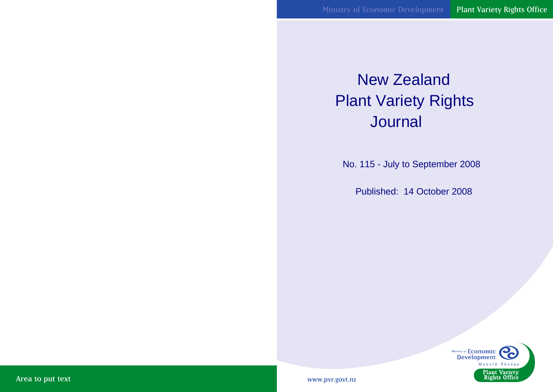# New Zealand Plant Variety Rights **Journal**

No. 115 - July to September 2008

Published: 14 October 2008



www.pvr.govt.nz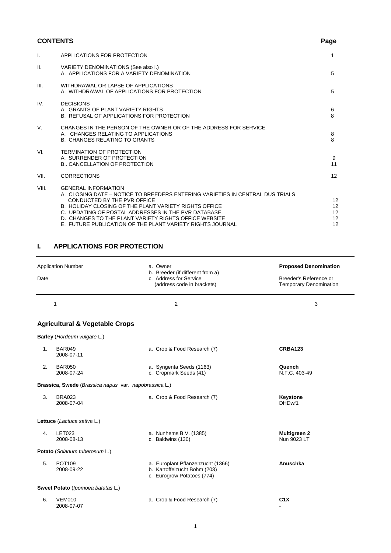# **CONTENTS** Page

| $\mathsf{L}$ | APPLICATIONS FOR PROTECTION                                                                                                                                                                                                                                                                                                                                                       | 1                                                        |
|--------------|-----------------------------------------------------------------------------------------------------------------------------------------------------------------------------------------------------------------------------------------------------------------------------------------------------------------------------------------------------------------------------------|----------------------------------------------------------|
| II.          | VARIETY DENOMINATIONS (See also I.)<br>A. APPLICATIONS FOR A VARIETY DENOMINATION                                                                                                                                                                                                                                                                                                 | 5                                                        |
| III.         | WITHDRAWAL OR LAPSE OF APPLICATIONS<br>A. WITHDRAWAL OF APPLICATIONS FOR PROTECTION                                                                                                                                                                                                                                                                                               | 5                                                        |
| IV.          | <b>DECISIONS</b><br>A. GRANTS OF PLANT VARIETY RIGHTS<br>B. REFUSAL OF APPLICATIONS FOR PROTECTION                                                                                                                                                                                                                                                                                | 6<br>8                                                   |
| V.           | CHANGES IN THE PERSON OF THE OWNER OR OF THE ADDRESS FOR SERVICE<br>A. CHANGES RELATING TO APPLICATIONS<br><b>B. CHANGES RELATING TO GRANTS</b>                                                                                                                                                                                                                                   | 8<br>8                                                   |
| VI.          | <b>TERMINATION OF PROTECTION</b><br>A. SURRENDER OF PROTECTION<br><b>B., CANCELLATION OF PROTECTION</b>                                                                                                                                                                                                                                                                           | 9<br>11                                                  |
| VII.         | <b>CORRECTIONS</b>                                                                                                                                                                                                                                                                                                                                                                | 12                                                       |
| VIII.        | <b>GENERAL INFORMATION</b><br>A. CLOSING DATE – NOTICE TO BREEDERS ENTERING VARIETIES IN CENTRAL DUS TRIALS<br>CONDUCTED BY THE PVR OFFICE<br>B. HOLIDAY CLOSING OF THE PLANT VARIETY RIGHTS OFFICE<br>C. UPDATING OF POSTAL ADDRESSES IN THE PVR DATABASE.<br>D. CHANGES TO THE PLANT VARIETY RIGHTS OFFICE WEBSITE<br>E. FUTURE PUBLICATION OF THE PLANT VARIETY RIGHTS JOURNAL | $12 \overline{ }$<br>12<br>$12 \overline{ }$<br>12<br>12 |

# **I. APPLICATIONS FOR PROTECTION**

| Date | <b>Application Number</b>                             | a. Owner<br>b. Breeder (if different from a)<br>c. Address for Service<br>(address code in brackets) | <b>Proposed Denomination</b><br>Breeder's Reference or<br><b>Temporary Denomination</b> |
|------|-------------------------------------------------------|------------------------------------------------------------------------------------------------------|-----------------------------------------------------------------------------------------|
|      | $\mathbf{1}$                                          | 2                                                                                                    | 3                                                                                       |
|      | <b>Agricultural &amp; Vegetable Crops</b>             |                                                                                                      |                                                                                         |
|      | Barley (Hordeum vulgare L.)                           |                                                                                                      |                                                                                         |
| 1.   | <b>BAR049</b><br>2008-07-11                           | a. Crop & Food Research (7)                                                                          | <b>CRBA123</b>                                                                          |
| 2.   | <b>BAR050</b><br>2008-07-24                           | a. Syngenta Seeds (1163)<br>c. Cropmark Seeds (41)                                                   | Quench<br>N.F.C. 403-49                                                                 |
|      | Brassica, Swede (Brassica napus var. napobrassica L.) |                                                                                                      |                                                                                         |
| 3.   | <b>BRA023</b><br>2008-07-04                           | a. Crop & Food Research (7)                                                                          | Keystone<br>DHDwf1                                                                      |
|      | Lettuce (Lactuca sativa L.)                           |                                                                                                      |                                                                                         |
| 4.   | <b>LET023</b><br>2008-08-13                           | a. Nunhems B.V. (1385)<br>c. Baldwins (130)                                                          | <b>Multigreen 2</b><br>Nun 9023 LT                                                      |
|      | Potato (Solanum tuberosum L.)                         |                                                                                                      |                                                                                         |
| 5.   | POT109<br>2008-09-22                                  | a. Europlant Pflanzenzucht (1366)<br>b. Kartoffelzucht Bohm (203)<br>c. Eurogrow Potatoes (774)      | Anuschka                                                                                |
|      | Sweet Potato (Ipomoea batatas L.)                     |                                                                                                      |                                                                                         |
| 6.   | <b>VEM010</b><br>2008-07-07                           | a. Crop & Food Research (7)                                                                          | C <sub>1</sub> X                                                                        |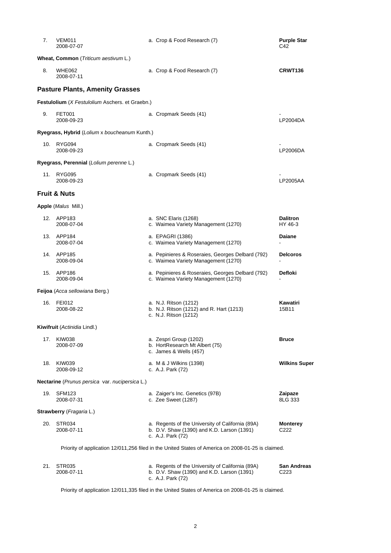| 7.  | VEM011<br>2008-07-07                            | a. Crop & Food Research (7)                                                                                         | <b>Purple Star</b><br>C42  |
|-----|-------------------------------------------------|---------------------------------------------------------------------------------------------------------------------|----------------------------|
|     | Wheat, Common (Triticum aestivum L.)            |                                                                                                                     |                            |
| 8.  | WHE062<br>2008-07-11                            | a. Crop & Food Research (7)                                                                                         | CRWT136                    |
|     | <b>Pasture Plants, Amenity Grasses</b>          |                                                                                                                     |                            |
|     | Festulolium (X Festulolium Aschers. et Graebn.) |                                                                                                                     |                            |
| 9.  | <b>FET001</b><br>2008-09-23                     | a. Cropmark Seeds (41)                                                                                              | LP2004DA                   |
|     | Ryegrass, Hybrid (Lolium x boucheanum Kunth.)   |                                                                                                                     |                            |
| 10. | RYG094<br>2008-09-23                            | a. Cropmark Seeds (41)                                                                                              | LP2006DA                   |
|     | Ryegrass, Perennial (Lolium perenne L.)         |                                                                                                                     |                            |
| 11. | <b>RYG095</b><br>2008-09-23                     | a. Cropmark Seeds (41)                                                                                              | LP2005AA                   |
|     | <b>Fruit &amp; Nuts</b>                         |                                                                                                                     |                            |
|     | Apple (Malus Mill.)                             |                                                                                                                     |                            |
|     | 12. APP183<br>2008-07-04                        | a. SNC Elaris (1268)<br>c. Waimea Variety Management (1270)                                                         | <b>Dalitron</b><br>HY 46-3 |
|     | 13. APP184<br>2008-07-04                        | a. EPAGRI (1386)<br>c. Waimea Variety Management (1270)                                                             | <b>Daiane</b>              |
| 14. | APP185<br>2008-09-04                            | a. Pepinieres & Roseraies, Georges Delbard (792)<br>c. Waimea Variety Management (1270)                             | <b>Delcoros</b>            |
|     | 15. APP186<br>2008-09-04                        | a. Pepinieres & Roseraies, Georges Delbard (792)<br>c. Waimea Variety Management (1270)                             | Defloki                    |
|     | Feijoa (Acca sellowiana Berg.)                  |                                                                                                                     |                            |
| 16. | <b>FEI012</b><br>2008-08-22                     | a. N.J. Ritson (1212)<br>b. N.J. Ritson (1212) and R. Hart (1213)<br>c. N.J. Ritson (1212)                          | Kawatiri<br>15B11          |
|     | Kiwifruit (Actinidia Lindl.)                    |                                                                                                                     |                            |
| 17. | KIW038<br>2008-07-09                            | a. Zespri Group (1202)<br>b. HortResearch Mt Albert (75)<br>c. James & Wells (457)                                  | <b>Bruce</b>               |
| 18. | <b>KIW039</b><br>2008-09-12                     | a. M & J Wilkins (1398)<br>c. A.J. Park (72)                                                                        | <b>Wilkins Super</b>       |
|     | Nectarine (Prunus persica var. nucipersica L.)  |                                                                                                                     |                            |
| 19. | SFM <sub>123</sub><br>2008-07-31                | a. Zaiger's Inc. Genetics (97B)<br>c. Zee Sweet (1287)                                                              | Zaipaze<br>8LG 333         |
|     | <b>Strawberry</b> ( <i>Fragaria</i> L.)         |                                                                                                                     |                            |
| 20. | STR <sub>034</sub><br>2008-07-11                | a. Regents of the University of California (89A)<br>b. D.V. Shaw (1390) and K.D. Larson (1391)<br>c. A.J. Park (72) | Monterey<br>C222           |
|     |                                                 | Priority of application 12/011,256 filed in the United States of America on 2008-01-25 is claimed.                  |                            |
| 21. | STR035<br>2008-07-11                            | a. Regents of the University of California (89A)<br>b. D.V. Shaw (1390) and K.D. Larson (1391)<br>c. A.J. Park (72) | San Andreas<br>C223        |

Priority of application 12/011,335 filed in the United States of America on 2008-01-25 is claimed.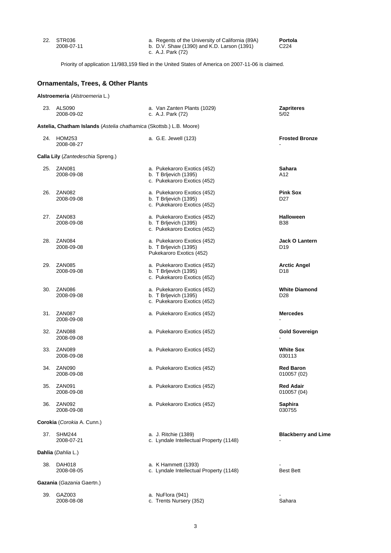| 22. STR036 |  |
|------------|--|
| 2008-07-11 |  |

 22. STR036 a. Regents of the University of California (89A) **Portola** 2008-07-11 b. D.V. Shaw (1390) and K.D. Larson (1391) C224 c. A.J. Park (72)

Priority of application 11/983,159 filed in the United States of America on 2007-11-06 is claimed.

# **Ornamentals, Trees, & Other Plants**

**Alstroemeria** (*Alstroemeria* L.)

|     | 23. ALS090<br>2008-09-02                                            | a. Van Zanten Plants (1029)<br>c. A.J. Park (72)                                    | Zapriteres<br>5/02                       |
|-----|---------------------------------------------------------------------|-------------------------------------------------------------------------------------|------------------------------------------|
|     | Astelia, Chatham Islands (Astelia chathamica (Skottsb.) L.B. Moore) |                                                                                     |                                          |
|     | 24. HOM253<br>2008-08-27                                            | a. G.E. Jewell (123)                                                                | <b>Frosted Bronze</b>                    |
|     | Calla Lily (Zantedeschia Spreng.)                                   |                                                                                     |                                          |
|     | 25. ZAN081<br>2008-09-08                                            | a. Pukekaroro Exotics (452)<br>b. T Brljevich (1395)<br>c. Pukekaroro Exotics (452) | Sahara<br>A12                            |
| 26. | ZAN <sub>082</sub><br>2008-09-08                                    | a. Pukekaroro Exotics (452)<br>b. T Brljevich (1395)<br>c. Pukekaroro Exotics (452) | <b>Pink Sox</b><br>D27                   |
| 27. | ZAN <sub>083</sub><br>2008-09-08                                    | a. Pukekaroro Exotics (452)<br>b. T Brljevich (1395)<br>c. Pukekaroro Exotics (452) | <b>Halloween</b><br>B38                  |
| 28. | ZAN084<br>2008-09-08                                                | a. Pukekaroro Exotics (452)<br>b. T Brljevich (1395)<br>Pukekaroro Exotics (452)    | <b>Jack O Lantern</b><br>D <sub>19</sub> |
| 29. | <b>ZAN085</b><br>2008-09-08                                         | a. Pukekaroro Exotics (452)<br>b. T Brljevich (1395)<br>c. Pukekaroro Exotics (452) | <b>Arctic Angel</b><br>D <sub>18</sub>   |
| 30. | ZAN086<br>2008-09-08                                                | a. Pukekaroro Exotics (452)<br>b. T Brljevich (1395)<br>c. Pukekaroro Exotics (452) | <b>White Diamond</b><br>D <sub>28</sub>  |
|     | 31. ZAN087<br>2008-09-08                                            | a. Pukekaroro Exotics (452)                                                         | <b>Mercedes</b>                          |
| 32. | ZAN088<br>2008-09-08                                                | a. Pukekaroro Exotics (452)                                                         | Gold Sovereign                           |
| 33. | <b>ZAN089</b><br>2008-09-08                                         | a. Pukekaroro Exotics (452)                                                         | <b>White Sox</b><br>030113               |
|     | 34. ZAN090<br>2008-09-08                                            | a. Pukekaroro Exotics (452)                                                         | <b>Red Baron</b><br>010057 (02)          |
| 35. | ZAN <sub>091</sub><br>2008-09-08                                    | a. Pukekaroro Exotics (452)                                                         | <b>Red Adair</b><br>010057 (04)          |
|     | 36. ZAN092<br>2008-09-08                                            | a. Pukekaroro Exotics (452)                                                         | <b>Saphira</b><br>030755                 |
|     | Corokia (Corokia A. Cunn.)                                          |                                                                                     |                                          |
| 37. | <b>SHM244</b><br>2008-07-21                                         | a. J. Ritchie (1389)<br>c. Lyndale Intellectual Property (1148)                     | <b>Blackberry and Lime</b>               |
|     | Dahlia (Dahlia L.)                                                  |                                                                                     |                                          |
| 38. | <b>DAH018</b><br>2008-08-05                                         | a. K Hammett (1393)<br>c. Lyndale Intellectual Property (1148)                      | <b>Best Bett</b>                         |
|     | Gazania (Gazania Gaertn.)                                           |                                                                                     |                                          |
| 39. | GAZ003<br>2008-08-08                                                | a. NuFlora (941)<br>c. Trents Nursery (352)                                         | Sahara                                   |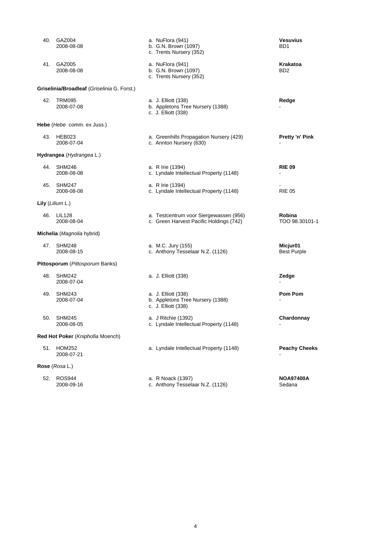|     | 40. GAZ004<br>2008-08-08                    | a. NuFlora (941)<br>b. G.N. Brown (1097)<br>c. Trents Nursery (352)               | <b>Vesuvius</b><br>BD <sub>1</sub> |
|-----|---------------------------------------------|-----------------------------------------------------------------------------------|------------------------------------|
| 41. | GAZ005<br>2008-08-08                        | a. NuFlora (941)<br>b. G.N. Brown (1097)<br>c. Trents Nursery (352)               | Krakatoa<br>BD <sub>2</sub>        |
|     | Griselinia/Broadleaf (Griselinia G. Forst.) |                                                                                   |                                    |
| 42. | TRM095<br>2008-07-08                        | a. J. Elliott (338)<br>b. Appletons Tree Nursery (1388)<br>c. J. Elliott (338)    | Redge                              |
|     | <b>Hebe</b> ( <i>Hebe</i> comm. ex Juss.)   |                                                                                   |                                    |
|     | 43. HEB023<br>2008-07-04                    | a. Greenhills Propagation Nursery (429)<br>c. Annton Nursery (630)                | <b>Pretty 'n' Pink</b>             |
|     | Hydrangea (Hydrangea L.)                    |                                                                                   |                                    |
| 44. | SHM246<br>2008-08-08                        | a. R Irie (1394)<br>c. Lyndale Intellectual Property (1148)                       | <b>RIE 09</b>                      |
|     | 45. SHM247<br>2008-08-08                    | a. R Irie (1394)<br>c. Lyndale Intellectual Property (1148)                       | <b>RIE 05</b>                      |
|     | <b>Lily</b> ( <i>Lilium</i> $L$ .)          |                                                                                   |                                    |
| 46. | <b>LIL128</b><br>2008-08-04                 | a. Testcentrum voor Siergewassen (956)<br>c. Green Harvest Pacific Holdings (742) | <b>Robina</b><br>TOO 98.30101-1    |
|     | Michelia (Magnolia hybrid)                  |                                                                                   |                                    |
|     | 47. SHM248<br>2008-08-15                    | a. M.C. Jury (155)<br>c. Anthony Tesselaar N.Z. (1126)                            | Micjur01<br><b>Best Purple</b>     |
|     | Pittosporum (Pittosporum Banks)             |                                                                                   |                                    |
| 48. | SHM242<br>2008-07-04                        | a. J. Elliott (338)                                                               | Zedge                              |
| 49. | <b>SHM243</b><br>2008-07-04                 | a. J. Elliott (338)<br>b. Appletons Tree Nursery (1388)<br>c. J. Elliott (338)    | <b>Pom Pom</b>                     |
| 50. | <b>SHM245</b><br>2008-08-05                 | a. J Ritchie (1392)<br>c. Lyndale Intellectual Property (1148)                    | Chardonnay                         |
|     | Red Hot Poker (Kniphofia Moench)            |                                                                                   |                                    |
| 51. | <b>HOM252</b><br>2008-07-21                 | a. Lyndale Intellectual Property (1148)                                           | <b>Peachy Cheeks</b>               |
|     | Rose (Rosa L.)                              |                                                                                   |                                    |
| 52. | <b>ROS944</b><br>2008-09-16                 | a. R Noack (1397)<br>c. Anthony Tesselaar N.Z. (1126)                             | <b>NOA97400A</b><br>Sedana         |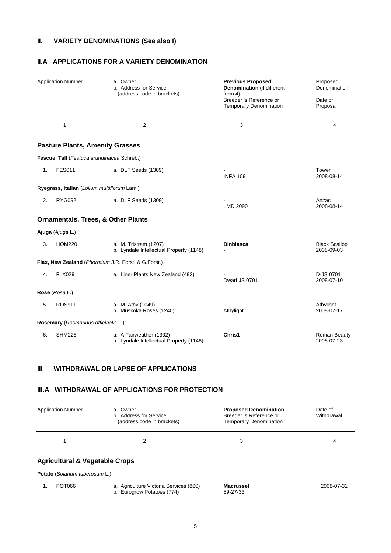|    | <b>Application Number</b>                     | a. Owner<br>b. Address for Service<br>(address code in brackets)   | <b>Previous Proposed</b><br><b>Denomination</b> (if different<br>from $4$ )<br>Breeder 's Reference or<br><b>Temporary Denomination</b> | Proposed<br>Denomination<br>Date of<br>Proposal |
|----|-----------------------------------------------|--------------------------------------------------------------------|-----------------------------------------------------------------------------------------------------------------------------------------|-------------------------------------------------|
|    | $\mathbf{1}$                                  | $\overline{2}$                                                     | 3                                                                                                                                       | 4                                               |
|    | <b>Pasture Plants, Amenity Grasses</b>        |                                                                    |                                                                                                                                         |                                                 |
|    | Fescue, Tall (Festuca arundinacea Schreb.)    |                                                                    |                                                                                                                                         |                                                 |
| 1. | <b>FES011</b>                                 | a. DLF Seeds (1309)                                                | <b>INFA 109</b>                                                                                                                         | Tower<br>2008-08-14                             |
|    | Ryegrass, Italian (Lolium multiflorum Lam.)   |                                                                    |                                                                                                                                         |                                                 |
| 2. | <b>RYG092</b>                                 | a. DLF Seeds (1309)                                                | LMD 2090                                                                                                                                | Anzac<br>2008-08-14                             |
|    | <b>Ornamentals, Trees, &amp; Other Plants</b> |                                                                    |                                                                                                                                         |                                                 |
|    | Ajuga (Ajuga L.)                              |                                                                    |                                                                                                                                         |                                                 |
| 3. | <b>HOM220</b>                                 | a. M. Tristram (1207)<br>b. Lyndale Intellectual Property (1148)   | <b>Binblasca</b>                                                                                                                        | <b>Black Scallop</b><br>2008-09-03              |
|    |                                               | Flax, New Zealand (Phormium J.R. Forst. & G.Forst.)                |                                                                                                                                         |                                                 |
| 4. | <b>FLX029</b>                                 | a. Liner Plants New Zealand (492)                                  | Dwarf JS 0701                                                                                                                           | D-JS 0701<br>2008-07-10                         |
|    | Rose (Rosa L.)                                |                                                                    |                                                                                                                                         |                                                 |
| 5. | <b>ROS911</b>                                 | a. M. Athy (1049)<br>b. Muskoka Roses (1240)                       | Athylight                                                                                                                               | Athylight<br>2008-07-17                         |
|    | Rosemary (Rosmarinus officinalis L.)          |                                                                    |                                                                                                                                         |                                                 |
| 6. | <b>SHM228</b>                                 | a. A Fairweather (1302)<br>b. Lyndale Intellectual Property (1148) | Chris1                                                                                                                                  | Roman Beauty<br>2008-07-23                      |

# **II.A APPLICATIONS FOR A VARIETY DENOMINATION**

# **III WITHDRAWAL OR LAPSE OF APPLICATIONS**

# **III.A WITHDRAWAL OF APPLICATIONS FOR PROTECTION**

| <b>Application Number</b>                 | a. Owner<br>b. Address for Service<br>(address code in brackets) | <b>Proposed Denomination</b><br>Breeder 's Reference or<br><b>Temporary Denomination</b> | Date of<br>Withdrawal |
|-------------------------------------------|------------------------------------------------------------------|------------------------------------------------------------------------------------------|-----------------------|
|                                           | っ                                                                | 3                                                                                        | 4                     |
| <b>Agricultural &amp; Vegetable Crops</b> |                                                                  |                                                                                          |                       |

**Potato** (*Solanum tuberosum* L.)

 1. POT066 a. Agriculture Victoria Services (860) **Macrusset** 2008-07-31 b. Eurogrow Potatoes (774) 89-27-33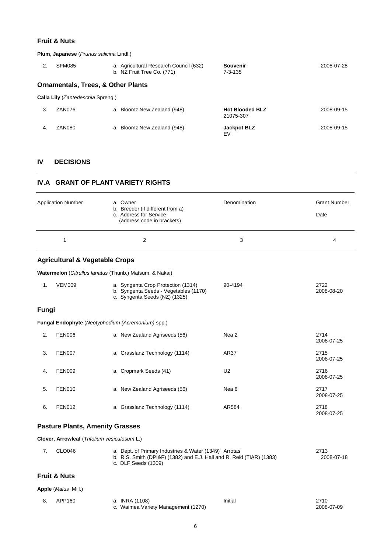# **Fruit & Nuts**

**Plum, Japanese** (*Prunus salicina* Lindl.)

| 2. | SFM085                                        | a. Agricultural Research Council (632)<br>b. NZ Fruit Tree Co. (771) | Souvenir<br>$7 - 3 - 135$           | 2008-07-28 |
|----|-----------------------------------------------|----------------------------------------------------------------------|-------------------------------------|------------|
|    | <b>Ornamentals, Trees, &amp; Other Plants</b> |                                                                      |                                     |            |
|    | Calla Lily (Zantedeschia Spreng.)             |                                                                      |                                     |            |
| 3. | ZAN076                                        | a. Bloomz New Zealand (948)                                          | <b>Hot Blooded BLZ</b><br>21075-307 | 2008-09-15 |
| 4. | ZAN080                                        | a. Bloomz New Zealand (948)                                          | <b>Jackpot BLZ</b><br>EV            | 2008-09-15 |

# **IV DECISIONS**

### **IV.A GRANT OF PLANT VARIETY RIGHTS**

|       | <b>Application Number</b><br>$\mathbf{1}$    | a. Owner<br>b. Breeder (if different from a)<br>c. Address for Service<br>(address code in brackets)<br>$\overline{2}$                               | Denomination<br>3 | <b>Grant Number</b><br>Date<br>4 |
|-------|----------------------------------------------|------------------------------------------------------------------------------------------------------------------------------------------------------|-------------------|----------------------------------|
|       |                                              |                                                                                                                                                      |                   |                                  |
|       | <b>Agricultural &amp; Vegetable Crops</b>    |                                                                                                                                                      |                   |                                  |
|       |                                              | Watermelon (Citrullus lanatus (Thunb.) Matsum. & Nakai)                                                                                              |                   |                                  |
| 1.    | <b>VEM009</b>                                | a. Syngenta Crop Protection (1314)<br>b. Syngenta Seeds - Vegetables (1170)<br>c. Syngenta Seeds (NZ) (1325)                                         | 90-4194           | 2722<br>2008-08-20               |
| Fungi |                                              |                                                                                                                                                      |                   |                                  |
|       |                                              | Fungal Endophyte (Neotyphodium (Acremonium) spp.)                                                                                                    |                   |                                  |
| 2.    | <b>FEN006</b>                                | a. New Zealand Agriseeds (56)                                                                                                                        | Nea 2             | 2714<br>2008-07-25               |
| 3.    | <b>FEN007</b>                                | a. Grasslanz Technology (1114)                                                                                                                       | AR37              | 2715<br>2008-07-25               |
| 4.    | <b>FEN009</b>                                | a. Cropmark Seeds (41)                                                                                                                               | U <sub>2</sub>    | 2716<br>2008-07-25               |
| 5.    | <b>FEN010</b>                                | a. New Zealand Agriseeds (56)                                                                                                                        | Nea <sub>6</sub>  | 2717<br>2008-07-25               |
| 6.    | <b>FEN012</b>                                | a. Grasslanz Technology (1114)                                                                                                                       | AR584             | 2718<br>2008-07-25               |
|       | <b>Pasture Plants, Amenity Grasses</b>       |                                                                                                                                                      |                   |                                  |
|       | Clover, Arrowleaf (Trifolium vesiculosum L.) |                                                                                                                                                      |                   |                                  |
| 7.    | <b>CLO046</b>                                | a. Dept. of Primary Industries & Water (1349) Arrotas<br>b. R.S. Smith (DPI&F) (1382) and E.J. Hall and R. Reid (TIAR) (1383)<br>c. DLF Seeds (1309) |                   | 2713<br>2008-07-18               |

# **Fruit & Nuts**

**Apple** (*Malus* Mill.)

| APP160 | a. INRA (1108)                      | Initial | 2710       |
|--------|-------------------------------------|---------|------------|
|        | c. Waimea Variety Management (1270) |         | 2008-07-09 |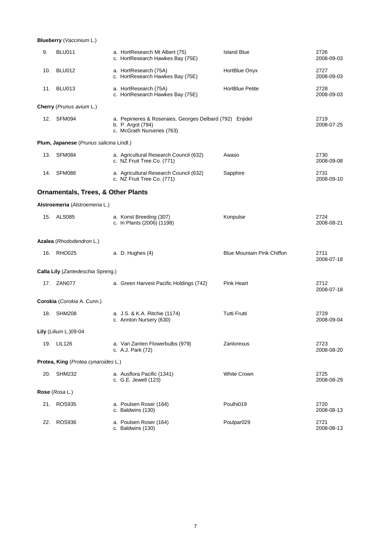**Blueberry** (*Vaccinium* L.)

| 9.  | BLU011                                        | a. HortResearch Mt Albert (75)<br>c. HortResearch Hawkes Bay (75E)                                          | <b>Island Blue</b>                | 2726<br>2008-09-03 |
|-----|-----------------------------------------------|-------------------------------------------------------------------------------------------------------------|-----------------------------------|--------------------|
| 10. | BLU012                                        | a. HortResearch (75A)<br>c. HortResearch Hawkes Bay (75E)                                                   | HortBlue Onyx                     | 2727<br>2008-09-03 |
|     | 11. BLU013                                    | a. HortResearch (75A)<br>c. HortResearch Hawkes Bay (75E)                                                   | <b>HortBlue Petite</b>            | 2728<br>2008-09-03 |
|     | Cherry (Prunus avium L.)                      |                                                                                                             |                                   |                    |
|     | 12. SFM094                                    | a. Pepinieres & Roseraies, Georges Delbard (792) Enjidel<br>b. P. Argot (794)<br>c. McGrath Nurseries (763) |                                   | 2719<br>2008-07-25 |
|     | Plum, Japanese (Prunus salicina Lindl.)       |                                                                                                             |                                   |                    |
|     | 13. SFM084                                    | a. Agricultural Research Council (632)<br>c. NZ Fruit Tree Co. (771)                                        | Awaso                             | 2730<br>2008-09-08 |
|     | 14. SFM086                                    | a. Agricultural Research Council (632)<br>c. NZ Fruit Tree Co. (771)                                        | Sapphire                          | 2731<br>2008-09-10 |
|     | <b>Ornamentals, Trees, &amp; Other Plants</b> |                                                                                                             |                                   |                    |
|     | Alstroemeria (Alstroemeria L.)                |                                                                                                             |                                   |                    |
|     | 15. ALS085                                    | a. Konst Breeding (307)<br>c. In Plants (2006) (1198)                                                       | Konpulse                          | 2724<br>2008-08-21 |
|     |                                               |                                                                                                             |                                   |                    |
|     | Azalea (Rhododendron L.)                      |                                                                                                             |                                   |                    |
|     | 16. RHO025                                    | a. D. Hughes (4)                                                                                            | <b>Blue Mountain Pink Chiffon</b> | 2711<br>2008-07-18 |
|     | Calla Lily (Zantedeschia Spreng.)             |                                                                                                             |                                   |                    |
|     | 17. ZAN077                                    | a. Green Harvest Pacific Holdings (742)                                                                     | Pink Heart                        | 2712<br>2008-07-18 |
|     | Corokia (Corokia A. Cunn.)                    |                                                                                                             |                                   |                    |
|     | 18. SHM208                                    | a. J.S. & K.A. Ritchie (1174)<br>c. Annton Nursery (630)                                                    | <b>Tutti Frutti</b>               | 2729<br>2008-09-04 |
|     | Lily (Lilium L.)09-04                         |                                                                                                             |                                   |                    |
|     | 19. LIL126                                    | a. Van Zanten Flowerbulbs (979)<br>c. A.J. Park (72)                                                        | Zanlorexus                        | 2723<br>2008-08-20 |
|     | Protea, King (Protea cynaroides L.)           |                                                                                                             |                                   |                    |
|     | 20. SHM232                                    | a. Ausflora Pacific (1341)<br>c. G.E. Jewell (123)                                                          | <b>White Crown</b>                | 2725<br>2008-08-29 |
|     | Rose (Rosa L.)                                |                                                                                                             |                                   |                    |
|     | 21. ROS935                                    | a. Poulsen Roser (164)<br>c. Baldwins (130)                                                                 | Poulhi019                         | 2720<br>2008-08-13 |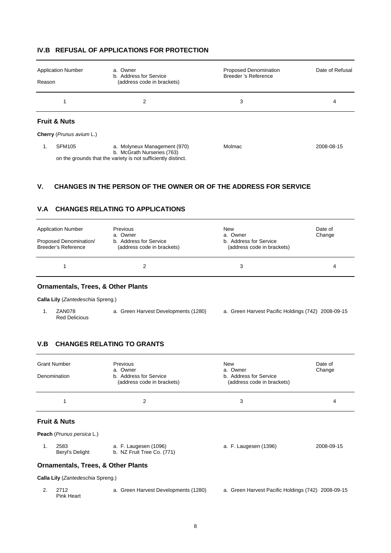| Reason                   | <b>Application Number</b> | a. Owner<br>b. Address for Service<br>(address code in brackets)                                                            | <b>Proposed Denomination</b><br>Breeder 's Reference | Date of Refusal |  |  |
|--------------------------|---------------------------|-----------------------------------------------------------------------------------------------------------------------------|------------------------------------------------------|-----------------|--|--|
|                          |                           | 2                                                                                                                           | 3                                                    | 4               |  |  |
| <b>Fruit &amp; Nuts</b>  |                           |                                                                                                                             |                                                      |                 |  |  |
| Cherry (Prunus avium L.) |                           |                                                                                                                             |                                                      |                 |  |  |
|                          | <b>SFM105</b>             | a. Molyneux Management (970)<br>b. McGrath Nurseries (763)<br>on the grounds that the variety is not sufficiently distinct. | Molmac                                               | 2008-08-15      |  |  |

# **IV.B REFUSAL OF APPLICATIONS FOR PROTECTION**

# **V. CHANGES IN THE PERSON OF THE OWNER OR OF THE ADDRESS FOR SERVICE**

# **V.A CHANGES RELATING TO APPLICATIONS**

| <b>Application Number</b><br>Proposed Denomination/<br>Breeder's Reference | <b>Previous</b><br>a. Owner<br>b. Address for Service<br>(address code in brackets) | New<br>a. Owner<br>b. Address for Service<br>(address code in brackets) | Date of<br>Change |
|----------------------------------------------------------------------------|-------------------------------------------------------------------------------------|-------------------------------------------------------------------------|-------------------|
|                                                                            |                                                                                     | 3                                                                       | 4                 |

### **Ornamentals, Trees, & Other Plants**

**Calla Lily** (*Zantedeschia* Spreng.)

 1. ZAN078 a. Green Harvest Developments (1280) a. Green Harvest Pacific Holdings (742) 2008-09-15 Red Delicious

# **V.B CHANGES RELATING TO GRANTS**

| <b>Grant Number</b><br>Denomination | Previous<br>a. Owner<br>b. Address for Service<br>(address code in brackets) | <b>New</b><br>a. Owner<br>b. Address for Service<br>(address code in brackets) | Date of<br>Change |
|-------------------------------------|------------------------------------------------------------------------------|--------------------------------------------------------------------------------|-------------------|
|                                     |                                                                              | 3                                                                              | 4                 |

# **Fruit & Nuts**

**Peach** (*Prunus persica* L.)

| $\sim$ 2583     | a. F. Laugesen (1096)      | a. F. Laugesen (1396) | 2008-09-15 |
|-----------------|----------------------------|-----------------------|------------|
| Beryl's Delight | b. NZ Fruit Tree Co. (771) |                       |            |

#### **Ornamentals, Trees, & Other Plants**

**Calla Lily** (*Zantedeschia* Spreng.)

 2. 2712 a. Green Harvest Developments (1280) a. Green Harvest Pacific Holdings (742) 2008-09-15 Pink Heart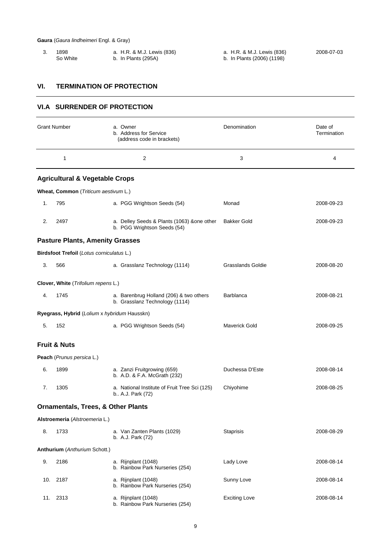| 1898     | a. H.R. & M.J. Lewis (836) |
|----------|----------------------------|
| So White | b. In Plants (295A)        |

3. 1898 a. H.R. & M.J. Lewis (836) a. H.R. & M.J. Lewis (836) 2008-07-03

b. In Plants (2006) (1198)

#### **VI. TERMINATION OF PROTECTION**

# **VI.A SURRENDER OF PROTECTION** Grant Number **a.** Owner **Communist Communist Communist Communist** Denomination Date of b. Address for Service **Termination**  (address code in brackets)  $1$  2 3 4 **Agricultural & Vegetable Crops Wheat, Common** (*Triticum aestivum* L.) 1. 795 a. PGG Wrightson Seeds (54) Monad 2008-09-23 2. 2497 a. Delley Seeds & Plants (1063) &one other Bakker Gold 2008-09-23 b. PGG Wrightson Seeds (54) **Pasture Plants, Amenity Grasses Birdsfoot Trefoil** (*Lotus corniculatus* L.) 3. 566 a. Grasslanz Technology (1114) Grasslands Goldie 2008-08-20 **Clover, White** (*Trifolium repens* L.) 4. 1745 a. Barenbrug Holland (206) & two others Barblanca 2008-08-21 b. Grasslanz Technology (1114) **Ryegrass, Hybrid** (*Lolium* x *hybridum* Hausskn) 5. 152 a. PGG Wrightson Seeds (54) Maverick Gold 2008-09-25 **Fruit & Nuts Peach** (*Prunus persica* L.) 6. 1899 a. Zanzi Fruitgrowing (659) Duchessa D'Este 2008-08-14 b. A.D. & F.A. McGrath (232) 7. 1305 a. National Institute of Fruit Tree Sci (125) Chiyohime 2008-08-25 b.. A.J. Park (72) **Ornamentals, Trees, & Other Plants Alstroemeria** (*Alstroemeria* L.) 8. 1733 a. Van Zanten Plants (1029) Staprisis 2008-08-29 b. A.J. Park (72) **Anthurium** (*Anthurium* Schott.) 9. 2186 a. Rijnplant (1048) Lady Love 2008-08-14 b. Rainbow Park Nurseries (254) 10. 2187 a. Rijnplant (1048) Sunny Love 2008-08-14 b. Rainbow Park Nurseries (254) 11. 2313 a. Rijnplant (1048) Exciting Love 2008-08-14 b. Rainbow Park Nurseries (254)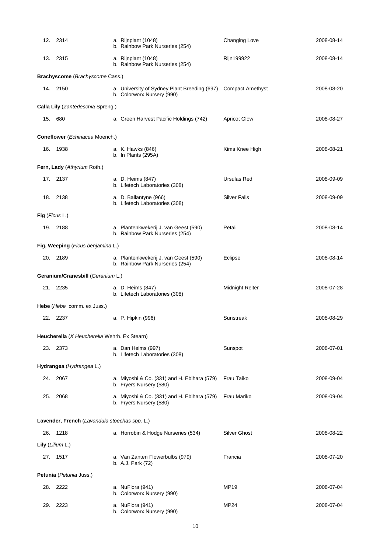|     | 12. 2314                                      | a. Rijnplant (1048)<br>b. Rainbow Park Nurseries (254)                                      | Changing Love          | 2008-08-14 |
|-----|-----------------------------------------------|---------------------------------------------------------------------------------------------|------------------------|------------|
|     | 13. 2315                                      | a. Rijnplant (1048)<br>b. Rainbow Park Nurseries (254)                                      | Rijn199922             | 2008-08-14 |
|     | Brachyscome (Brachyscome Cass.)               |                                                                                             |                        |            |
|     | 14. 2150                                      | a. University of Sydney Plant Breeding (697) Compact Amethyst<br>b. Colorworx Nursery (990) |                        | 2008-08-20 |
|     | Calla Lily (Zantedeschia Spreng.)             |                                                                                             |                        |            |
|     | 15. 680                                       | a. Green Harvest Pacific Holdings (742)                                                     | <b>Apricot Glow</b>    | 2008-08-27 |
|     | Coneflower (Echinacea Moench.)                |                                                                                             |                        |            |
| 16. | 1938                                          | a. K. Hawks (846)<br>b. In Plants (295A)                                                    | Kims Knee High         | 2008-08-21 |
|     | Fern, Lady (Athyrium Roth.)                   |                                                                                             |                        |            |
|     | 17. 2137                                      | a. D. Heims (847)<br>b. Lifetech Laboratories (308)                                         | Ursulas Red            | 2008-09-09 |
|     | 18. 2138                                      | a. D. Ballantyne (966)<br>b. Lifetech Laboratories (308)                                    | <b>Silver Falls</b>    | 2008-09-09 |
|     | Fig (Ficus L.)                                |                                                                                             |                        |            |
|     | 19. 2188                                      | a. Plantenkwekerij J. van Geest (590)<br>b. Rainbow Park Nurseries (254)                    | Petali                 | 2008-08-14 |
|     | Fig, Weeping (Ficus benjamina L.)             |                                                                                             |                        |            |
|     | 20. 2189                                      | a. Plantenkwekerij J. van Geest (590)<br>b. Rainbow Park Nurseries (254)                    | Eclipse                | 2008-08-14 |
|     | Geranium/Cranesbill (Geranium L.)             |                                                                                             |                        |            |
|     | 21. 2235                                      | a. D. Heims (847)<br>b. Lifetech Laboratories (308)                                         | <b>Midnight Reiter</b> | 2008-07-28 |
|     | Hebe (Hebe comm. ex Juss.)                    |                                                                                             |                        |            |
|     | 22. 2237                                      | a. P. Hipkin (996)                                                                          | Sunstreak              | 2008-08-29 |
|     | Heucherella (X Heucherella Wehrh. Ex Stearn)  |                                                                                             |                        |            |
|     | 23. 2373                                      | a. Dan Heims (997)<br>b. Lifetech Laboratories (308)                                        | Sunspot                | 2008-07-01 |
|     | Hydrangea (Hydrangea L.)                      |                                                                                             |                        |            |
|     | 24. 2067                                      | a. Miyoshi & Co. (331) and H. Ebihara (579)<br>b. Fryers Nursery (580)                      | Frau Taiko             | 2008-09-04 |
| 25. | 2068                                          | a. Miyoshi & Co. (331) and H. Ebihara (579)<br>b. Fryers Nursery (580)                      | Frau Mariko            | 2008-09-04 |
|     | Lavender, French (Lavandula stoechas spp. L.) |                                                                                             |                        |            |
|     | 26. 1218                                      | a. Horrobin & Hodge Nurseries (534)                                                         | <b>Silver Ghost</b>    | 2008-08-22 |
|     | Lily (Lilium L.)                              |                                                                                             |                        |            |
|     | 27. 1517                                      | a. Van Zanten Flowerbulbs (979)<br>b. A.J. Park (72)                                        | Francia                | 2008-07-20 |
|     | Petunia (Petunia Juss.)                       |                                                                                             |                        |            |
|     | 28. 2222                                      | a. NuFlora (941)<br>b. Colorworx Nursery (990)                                              | MP19                   | 2008-07-04 |
| 29. | 2223                                          | a. NuFlora (941)<br>b. Colorworx Nursery (990)                                              | MP24                   | 2008-07-04 |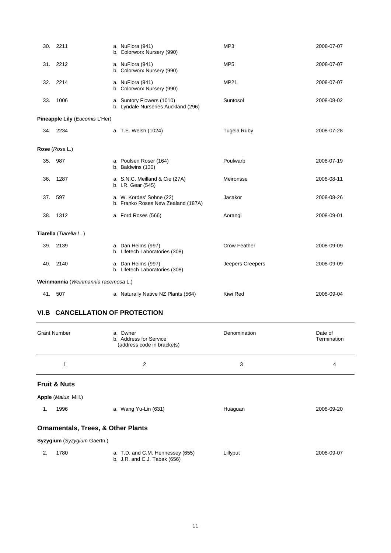|                                     | 30. 2211                       | a. NuFlora (941)<br>b. Colorworx Nursery (990)                   | MP3                | 2008-07-07 |
|-------------------------------------|--------------------------------|------------------------------------------------------------------|--------------------|------------|
|                                     | 31. 2212                       | a. NuFlora (941)<br>b. Colorworx Nursery (990)                   | MP <sub>5</sub>    | 2008-07-07 |
|                                     | 32. 2214                       | a. NuFlora (941)<br>b. Colorworx Nursery (990)                   | <b>MP21</b>        | 2008-07-07 |
| 33.                                 | 1006                           | a. Suntory Flowers (1010)<br>b. Lyndale Nurseries Auckland (296) | Suntosol           | 2008-08-02 |
|                                     | Pineapple Lily (Eucomis L'Her) |                                                                  |                    |            |
|                                     | 34. 2234                       | a. T.E. Welsh (1024)                                             | <b>Tugela Ruby</b> | 2008-07-28 |
|                                     | Rose (Rosa L.)                 |                                                                  |                    |            |
| 35.                                 | 987                            | a. Poulsen Roser (164)<br>b. Baldwins (130)                      | Poulwarb           | 2008-07-19 |
| 36.                                 | 1287                           | a. S.N.C. Meilland & Cie (27A)<br>b. I.R. Gear (545)             | Meironsse          | 2008-08-11 |
| 37.                                 | 597                            | a. W. Kordes' Sohne (22)<br>b. Franko Roses New Zealand (187A)   | Jacakor            | 2008-08-26 |
| 38.                                 | 1312                           | a. Ford Roses (566)                                              | Aorangi            | 2008-09-01 |
|                                     | Tiarella (Tiarella L.)         |                                                                  |                    |            |
|                                     | 39. 2139                       | a. Dan Heims (997)<br>b. Lifetech Laboratories (308)             | Crow Feather       | 2008-09-09 |
|                                     | 40. 2140                       | a. Dan Heims (997)<br>b. Lifetech Laboratories (308)             | Jeepers Creepers   | 2008-09-09 |
| Weinmannia (Weinmannia racemosa L.) |                                |                                                                  |                    |            |
|                                     | 41. 507                        | a. Naturally Native NZ Plants (564)                              | Kiwi Red           | 2008-09-04 |

# **VI.B CANCELLATION OF PROTECTION**

|                                               | <b>Grant Number</b>        | a. Owner<br>b. Address for Service<br>(address code in brackets) | Denomination | Date of<br>Termination |  |  |
|-----------------------------------------------|----------------------------|------------------------------------------------------------------|--------------|------------------------|--|--|
|                                               | 1                          | 2                                                                | 3            | 4                      |  |  |
|                                               | <b>Fruit &amp; Nuts</b>    |                                                                  |              |                        |  |  |
|                                               | <b>Apple (Malus Mill.)</b> |                                                                  |              |                        |  |  |
| 1.                                            | 1996                       | a. Wang Yu-Lin (631)                                             | Huaguan      | 2008-09-20             |  |  |
| <b>Ornamentals, Trees, &amp; Other Plants</b> |                            |                                                                  |              |                        |  |  |
| Syzygium (Syzygium Gaertn.)                   |                            |                                                                  |              |                        |  |  |
| 2.                                            | 1780                       | a. T.D. and C.M. Hennessey (655)<br>b. J.R. and C.J. Tabak (656) | Lillyput     | 2008-09-07             |  |  |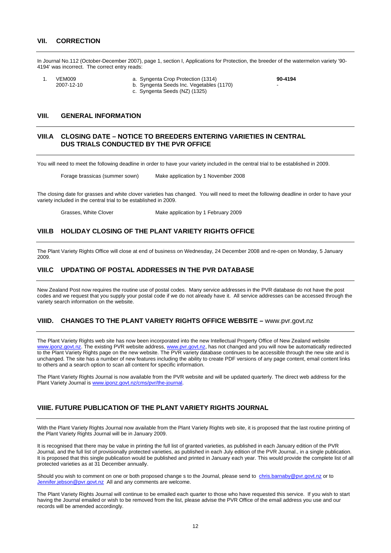In Journal No.112 (October-December 2007), page 1, section I, Applications for Protection, the breeder of the watermelon variety '90- 4194' was incorrect. The correct entry reads:

- 
- 1. VEM009 a. Syngenta Crop Protection (1314) **90-4194** b. Syngenta Seeds Inc. Vegetables (1170) c. Syngenta Seeds (NZ) (1325)
	-

#### **VIII. GENERAL INFORMATION**

#### **VIII.A CLOSING DATE – NOTICE TO BREEDERS ENTERING VARIETIES IN CENTRAL DUS TRIALS CONDUCTED BY THE PVR OFFICE**

You will need to meet the following deadline in order to have your variety included in the central trial to be established in 2009.

Forage brassicas (summer sown) Make application by 1 November 2008

The closing date for grasses and white clover varieties has changed. You will need to meet the following deadline in order to have your variety included in the central trial to be established in 2009.

Grasses, White Clover Make application by 1 February 2009

#### **VIII.B HOLIDAY CLOSING OF THE PLANT VARIETY RIGHTS OFFICE**

The Plant Variety Rights Office will close at end of business on Wednesday, 24 December 2008 and re-open on Monday, 5 January 2009.

#### **VIII.C UPDATING OF POSTAL ADDRESSES IN THE PVR DATABASE**

New Zealand Post now requires the routine use of postal codes. Many service addresses in the PVR database do not have the post codes and we request that you supply your postal code if we do not already have it. All service addresses can be accessed through the variety search information on the website.

#### **VIIID. CHANGES TO THE PLANT VARIETY RIGHTS OFFICE WEBSITE –** [www.pvr.govt.nz](http://www.pvr.govt.nz/)

The Plant Variety Rights web site has now been incorporated into the new Intellectual Property Office of New Zealand website [www.iponz.govt.nz](http://www.iponz.govt.nz/). The existing PVR website address, [www.pvr.govt.nz,](http://www.pvr.govt.nz/) has not changed and you will now be automatically redirected to the Plant Variety Rights page on the new website. The PVR variety database continues to be accessible through the new site and is unchanged. The site has a number of new features including the ability to create PDF versions of any page content, email content links to others and a search option to scan all content for specific information.

The Plant Variety Rights Journal is now available from the PVR website and will be updated quarterly. The direct web address for the Plant Variety Journal is [www.iponz.govt.nz/cms/pvr/the-journal.](http://www.iponz.govt.nz/cms/pvr/the-journal)

# **VIIIE. FUTURE PUBLICATION OF THE PLANT VARIETY RIGHTS JOURNAL**

With the Plant Variety Rights Journal now available from the Plant Variety Rights web site, it is proposed that the last routine printing of the Plant Variety Rights Journal will be in January 2009.

It is recognised that there may be value in printing the full list of granted varieties, as published in each January edition of the PVR Journal, and the full list of provisionally protected varieties, as published in each July edition of the PVR Journal., in a single publication. It is proposed that this single publication would be published and printed in January each year. This would provide the complete list of all protected varieties as at 31 December annually.

Should you wish to comment on one or both proposed change s to the Journal, please send to [chris.barnaby@pvr.govt.nz](mailto:chris.barnaby@pvr.govt.nz) or to [Jennifer.jebson@pvr.govt.nz](mailto:Jennifer.jebson@pvr.govt.nz) All and any comments are welcome.

The Plant Variety Rights Journal will continue to be emailed each quarter to those who have requested this service. If you wish to start having the Journal emailed or wish to be removed from the list, please advise the PVR Office of the email address you use and our records will be amended accordingly.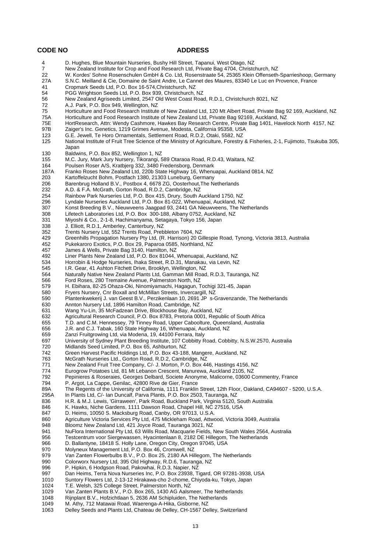#### **CODE NO ADDRESS**

 4 D. Hughes, Blue Mountain Nurseries, Bushy Hill Street, Tapanui, West Otago, NZ New Zealand Institute for Crop and Food Research Ltd, Private Bag 4704, Christchurch, NZ 22 W. Kordes' Sohne Rosenschulen GmbH & Co. Ltd, Rosenstraate 54, 25365 Klein Offenseth-Sparrieshoop, Germany<br>27A S.N.C. Meilland & Cie. Domaine de Saint Andre. Le Cannet des Maures. 83340 Le Luc en Provence. France S.N.C. Meilland & Cie, Domaine de Saint Andre, Le Cannet des Maures, 83340 Le Luc en Provence, France 41 Cropmark Seeds Ltd, P.O. Box 16-574,Christchurch, NZ 54 PGG Wrightson Seeds Ltd, P.O. Box 939, Christchurch, NZ 56 New Zealand Agriseeds Limited, 2547 Old West Coast Road, R.D.1, Christchurch 8021, NZ<br>72 A.J. Park, P.O. Box 949, Wellington, NZ A.J. Park, P.O. Box 949, Wellington, NZ 75 Horticulture and Food Research Institute of New Zealand Ltd, 120 Mt Albert Road, Private Bag 92 169, Auckland, NZ 75A Horticulture and Food Research Institute of New Zealand Ltd, Private Bag 92169, Auckland, NZ 75E HortResearch, Attn: Wendy Cashmore, Hawkes Bay Research Centre, Private Bag 1401, Havelock North 4157, NZ<br>97B Zaiger's Inc. Genetics. 1219 Grimes Avenue. Modesta. California 95358. USA Zaiger's Inc. Genetics, 1219 Grimes Avenue, Modesta, California 95358, USA 123 G.E. Jewell, Te Horo Ornamentals, Settlement Road, R.D.2, Otaki, 5582, NZ 125 National Institute of Fruit Tree Science of the Ministry of Agriculture, Forestry & Fisheries, 2-1, Fujimoto, Tsukuba 305, Japan 130 Baldwins, P.O. Box 852, Wellington 1, NZ 155 M.C. Jury, Mark Jury Nursery, Tikorangi, 589 Otaraoa Road, R.D.43, Waitara, NZ 164 Poulsen Roser A/S, Kratbjerg 332, 3480 Fredensborg, Denmark 187A Franko Roses New Zealand Ltd, 220b State Highway 16, Whenuapai, Auckland 0814, NZ Kartoffelzucht Bohm, Postfach 1380, 21303 Luneburg, Germany 206 Barenbrug Holland B.V., Postbox 4, 6678 ZG, Oosterhout, The Netherlands<br>232 A.D. & F.A. McGrath, Gorton Road, R.D.2, Cambridge, NZ 232 A.D. & F.A. McGrath, Gorton Road, R.D.2, Cambridge, NZ<br>254 Rainbow Park Nurseries Ltd. P.O. Box 415. Drury. South A Rainbow Park Nurseries Ltd, P.O. Box 415, Drury, South Auckland 1750, NZ 296 Lyndale Nurseries Auckland Ltd, P.O. Box 81-022, Whenuapai, Auckland, NZ 307 Konst Breeding B.V., Nieuwveens Jaagpad 93, 2441 GA Nieuwveens, The Netherlands 308 Lifetech Laboratories Ltd, P.O. Box 300-188, Albany 0752, Auckland, NZ 331 Miyoshi & Co., 2-1-8, Hachimanyama, Setagaya, Tokyo 156, Japan 338 J. Elliott, R.D.1, Amberley, Canterbury, NZ 352 Trents Nursery Ltd, 552 Trents Road, Prebbleton 7604, NZ 429 Greenhills Propagation Nursery Pty Ltd, (R. Harrison) 20 Gillespie Road, Tynong, Victoria 3813, Australia 452 Pukekaroro Exotics, P.O. Box 29, Paparoa 0585, Northland, NZ 457 James & Wells, Private Bag 3140, Hamilton, NZ<br>492 Liner Plants New Zealand Ltd, P.O. Box 81044, 492 Liner Plants New Zealand Ltd, P.O. Box 81044, Whenuapai, Auckland, NZ 534 Horrobin & Hodge Nurseries, Ihaka Street, R.D.31, Manakau, via Levin, NZ<br>545 L.R. Gear, 41 Ashton Fitchett Drive, Brooklyn, Wellington, NZ I.R. Gear, 41 Ashton Fitchett Drive, Brooklyn, Wellington, NZ 564 Naturally Native New Zealand Plants Ltd, Gamman Mill Road, R.D.3, Tauranga, NZ 566 Ford Roses, 280 Tremaine Avenue, Palmerston North, NZ<br>579 H. Fhihara, 82-25 Ohaza-Oki, Ninomiyamachi, Hagagun, T 579 H. Ebihara, 82-25 Ohaza-Oki, Ninomiyamachi, Hagagun, Tochigi 321-45, Japan 580 Fryers Nursery, Cnr Boxall and McMillan Streets, Invercargill, NZ<br>590 Plantenkwekerij J. van Geest B.V., Perzikenlaan 10, 2691 JP s-C 590 Plantenkwekerij J. van Geest B.V., Perzikenlaan 10, 2691 JP s-Gravenzande, The Netherlands<br>630 Annton Nursery Ltd, 1896 Hamilton Road, Cambridge, NZ 630 Annton Nursery Ltd, 1896 Hamilton Road, Cambridge, NZ Wang Yu-Lin, 35 McFadzean Drive, Blockhouse Bay, Auckland, NZ 632 Agricultural Research Council, P.O. Box 8783, Pretoria 0001, Republic of South Africa 655 T.D. and C.M. Hennessey, 79 Tinney Road, Upper Caboolture, Queensland, Australia 656 J.R. and C.J. Tabak, 160 State Highway 16, Whenuapai, Auckland, NZ 659 Zanzi Fruitgrowing Ltd, via Modena, 19, 44100 Ferrara, Italy 697 University of Sydney Plant Breeding Institute, 107 Cobbitty Road, Cobbitty, N.S.W.2570, Australia 720 Midlands Seed Limited, P.O. Box 65, Ashburton, NZ Green Harvest Pacific Holdings Ltd, P.O. Box 43-188, Mangere, Auckland, NZ 763 McGrath Nurseries Ltd., Gorton Road, R.D.2, Cambridge, NZ 771 New Zealand Fruit Tree Company, C/- J. Morton, P.O. Box 446, Hastings 4156, NZ<br>774 Eurogrow Potatoes Ltd. 81 Mt Lebanon Crescent, Manurewa, Auckland 2105, NZ 774 Eurogrow Potatoes Ltd, 81 Mt Lebanon Crescent, Manurewa, Auckland 2105, NZ 792 Pepinieres & Roseraies, Georges Delbard, Societe Anonyme, Malicorne, 03600 Commentry, France P. Argot, La Cappe, Genilac, 42800 Rive de Gier, France 89A The Regents of the University of California, 1111 Franklin Street, 12th Floor, Oakland, CA94607 - 5200, U.S.A.<br>295A In Plants Ltd. C/- Ian Duncalf. Parva Plants. P.O. Box 2503. Tauranga. NZ 295A In Plants Ltd, C/- Ian Duncalf, Parva Plants, P.O. Box 2503, Tauranga, NZ 836 H.R. & M.J. Lewis, 'Girraween', Park Road, Buckland Park, Virginia 5120, South Australia 846 K. Hawks, Niche Gardens, 1111 Dawson Road, Chapel Hill, NC 27516, USA<br>847 D. Heims, 10050 S. Macksburg Road, Canby, OR 97013, U.S.A. 847 D. Heims, 10050 S. Macksburg Road, Canby, OR 97013, U.S.A.<br>860 Agriculture Victoria Services Pty Ltd. 475 Mickleham Road, Attw 860 Agriculture Victoria Services Pty Ltd, 475 Mickleham Road, Attwood, Victoria 3049, Australia 948 Bloomz New Zealand Ltd, 421 Joyce Road, Tauranga 3021, NZ<br>941 NuFlora International Pty Ltd, 63 Wills Road, Macquarie Fields, 941 NuFlora International Pty Ltd, 63 Wills Road, Macquarie Fields, New South Wales 2564, Australia<br>956 Testcentrum voor Siergewassen, Hyacintenlaan 8, 2182 DE Hillegom, The Netherlands 956 Testcentrum voor Siergewassen, Hyacintenlaan 8, 2182 DE Hillegom, The Netherlands<br>966 D. Ballantyne, 18418 S. Holly Lane, Oregon City, Oregon 97045, USA 966 D. Ballantyne, 18418 S. Holly Lane, Oregon City, Oregon 97045, USA<br>970 Molyneux Management Ltd, P.O. Box 46, Cromwell, NZ 970 Molyneux Management Ltd, P.O. Box 46, Cromwell, NZ<br>979 Van Zanten Flowerbulbs B.V., P.O. Box 25, 2180 AA Hil Van Zanten Flowerbulbs B.V., P.O. Box 25, 2180 AA Hillegom, The Netherlands 990 Colorworx Nursery Ltd, 395 Old Highway, R.D.6, Tauranga, NZ 996 P. Hipkin, 6 Hodgson Road, Pakowhai, R.D.3, Napier, NZ 997 Dan Heims, Terra Nova Nurseries Inc, P.O. Box 23938, Tigard, OR 97281-3938, USA<br>1010 Suntory Flowers Ltd. 2-13-12 Hirakawa-cho 2-chome. Chivoda-ku. Tokyo. Japan Suntory Flowers Ltd, 2-13-12 Hirakawa-cho 2-chome, Chiyoda-ku, Tokyo, Japan 1024 T.E. Welsh, 325 College Street, Palmerston North, NZ Van Zanten Plants B.V., P.O. Box 265, 1430 AG Aalsmeer, The Netherlands 1048 Rijnplant B.V., Hofzichtlaan 5, 2636 AM Schipluiden, The Netherlands<br>1049 M. Athy. 712 Matawai Road. Waerenga-A-Hika. Gisborne. NZ M. Athy, 712 Matawai Road, Waerenga-A-Hika, Gisborne, NZ 1063 Delley Seeds and Plants Ltd, Chateau de Delley, CH-1567 Delley, Switzerland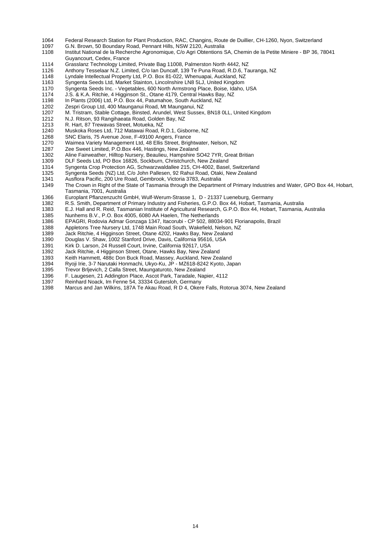- 1064 Federal Research Station for Plant Production, RAC, Changins, Route de Duillier, CH-1260, Nyon, Switzerland<br>1097 G.N. Brown, 50 Boundary Road, Pennant Hills, NSW 2120, Australia
- 
- 1097 G.N. Brown, 50 Boundary Road, Pennant Hills, NSW 2120, Australia<br>1108 Institut National de la Recherche Agronomigue, C/o Agri Obtentions \$ Institut National de la Recherche Agronomique, C/o Agri Obtentions SA, Chemin de la Petite Miniere - BP 36, 78041 Guyancourt, Cedex, France
- 1114 Grasslanz Technology Limited, Private Bag 11008, Palmerston North 4442, NZ
- Anthony Tesselaar N.Z. Limited, C/o Ian Duncalf, 139 Te Puna Road, R.D.6, Tauranga, NZ
- 1148 Lyndale Intellectual Property Ltd, P.O. Box 81-022, Whenuapai, Auckland, NZ<br>1163 Syngenta Seeds Ltd, Market Stainton, Lincolnshire LN8 5LJ, United Kingdom
- Syngenta Seeds Ltd, Market Stainton, Lincolnshire LN8 5LJ, United Kingdom
- 1170 Syngenta Seeds Inc. Vegetables, 600 North Armstrong Place, Boise, Idaho, USA
- 1174 J.S. & K.A. Ritchie, 4 Higginson St., Otane 4179, Central Hawks Bay, NZ
- 1198 In Plants (2006) Ltd, P.O. Box 44, Patumahoe, South Auckland, NZ<br>1202 Zespri Group Ltd, 400 Maunganui Road, Mt Maunganui, NZ
- 1202 Zespri Group Ltd, 400 Maunganui Road, Mt Maunganui, NZ<br>1207 M. Tristram. Stable Cottage. Binsted. Arundel. West Sussex
- M. Tristram, Stable Cottage, Binsted, Arundel, West Sussex, BN18 0LL, United Kingdom
- 1212 N.J. Ritson, 93 Rangihaeata Road, Golden Bay, NZ
- 1213 R. Hart, 87 Trewavas Street, Motueka, NZ
- 1240 Muskoka Roses Ltd, 712 Matawai Road, R.D.1, Gisborne, NZ<br>1268 SNC Elaris, 75 Avenue Joxe, F-49100 Angers, France
- SNC Elaris, 75 Avenue Joxe, F-49100 Angers, France
- 1270 Waimea Variety Management Ltd, 48 Ellis Street, Brightwater, Nelson, NZ
- 1287 Zee Sweet Limited, P.O.Box 446, Hastings, New Zealand<br>1302 Aline Fairweather, Hilltop Nursery, Beaulieu, Hampshire S
- 1302 Aline Fairweather, Hilltop Nursery, Beaulieu, Hampshire SO42 7YR, Great Britian<br>1309 DLE Seeds Ltd. PO Box 16826, Sockburn, Christchurch, New Zealand
- DLF Seeds Ltd, PO Box 16826, Sockburn, Christchurch, New Zealand
- 1314 Syngenta Crop Protection AG, Schwarzwaldallee 215, CH-4002, Basel, Switzerland
- 1325 Syngenta Seeds (NZ) Ltd, C/o John Pallesen, 92 Rahui Road, Otaki, New Zealand
- Ausflora Pacific, 200 Ure Road, Gembrook, Victoria 3783, Australia
- 1349 The Crown in Right of the State of Tasmania through the Department of Primary Industries and Water, GPO Box 44, Hobart, Tasmania, 7001, Australia
- 1366 Europlant Pflanzenzucht GmbH, Wulf-Werum-Strasse 1, D 21337 Lueneburg, Germany<br>1382 R.S. Smith, Department of Primary Industry and Fisheries, G.P.O. Box 44, Hobart, Tasmar
- 1382 R.S. Smith, Department of Primary Industry and Fisheries, G.P.O. Box 44, Hobart, Tasmania, Australia
- 1383 E.J. Hall and R. Reid, Tasmanian Institute of Agricultural Research, G.P.O. Box 44, Hobart, Tasmania, Australia
- 1385 Nunhems B.V., P.O. Box 4005, 6080 AA Haelen, The Netherlands
- 1386 EPAGRI, Rodovia Admar Gonzaga 1347, Itacorubi CP 502, 88034-901 Florianapolis, Brazil
- 1388 Appletons Tree Nursery Ltd, 1748 Main Road South, Wakefield, Nelson, NZ
- 
- 1389 Jack Ritchie, 4 Higginson Street, Otane 4202, Hawks Bay, New Zealand<br>1390 Douglas V. Shaw, 1002 Stanford Drive, Davis, California 95616, USA Douglas V. Shaw, 1002 Stanford Drive, Davis, California 95616, USA
- 1391 Kirk D. Larson, 24 Russell Court, Irvine, California 92617, USA
- 1392 Jack Ritchie, 4 Higginson Street, Otane, Hawks Bay, New Zealand
- 
- 1393 Keith Hammett, 488c Don Buck Road, Massey, Auckland, New Zealand
- 1394 Ryoji Irie, 3-7 Narutaki Honmachi, Ukyo-Ku, JP MZ618-8242 Kyoto, Japan Trevor Brljevich, 2 Calla Street, Maungaturoto, New Zealand
- 1396 F. Laugesen, 21 Addington Place, Ascot Park, Taradale, Napier, 4112
- 
- 1397 Reinhard Noack, Im Fenne 54, 33334 Gutersloh, Germany<br>1398 Marcus and Jan Wilkins, 187A Te Akau Road, R D 4, Oker 1398 Marcus and Jan Wilkins, 187A Te Akau Road, R D 4, Okere Falls, Rotorua 3074, New Zealand